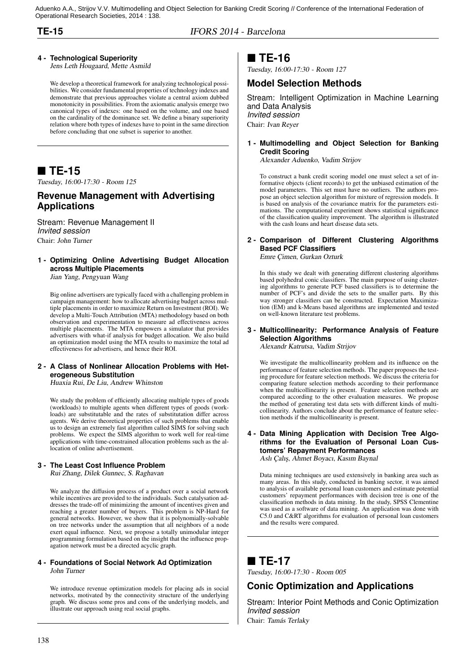Aduenko A.A., Strijov V.V. Multimodelling and Object Selection for Banking Credit Scoring // Conference of the International Federation of Operational Research Societies, 2014 : 138.

**TE-15** IFORS 2014 - Barcelona

### **4 - Technological Superiority**

Jens Leth Hougaard, Mette Asmild

We develop a theoretical framework for analyzing technological possibilities. We consider fundamental properties of technology indexes and demonstrate that previous approaches violate a central axiom dubbed monotonicity in possibilities. From the axiomatic analysis emerge two canonical types of indexes: one based on the volume, and one based on the cardinality of the dominance set. We define a binary superiority relation where both types of indexes have to point in the same direction before concluding that one subset is superior to another.

## **TE-15**

Tuesday, 16:00-17:30 - Room 125

### **Revenue Management with Advertising Applications**

Stream: Revenue Management II *Invited session* Chair: John Turner

### **1 - Optimizing Online Advertising Budget Allocation across Multiple Placements**

Jian Yang, Pengyuan Wang

Big online advertisers are typically faced with a challenging problem in campaign management: how to allocate advertising budget across multiple placements in order to maximize Return on Investment (ROI). We develop a Multi-Touch Attribution (MTA) methodology based on both observation and experimentation to measure ad effectiveness across multiple placements. The MTA empowers a simulator that provides advertisers with what-if analysis for budget allocation. We also build an optimization model using the MTA results to maximize the total ad effectiveness for advertisers, and hence their ROI.

#### **2 - A Class of Nonlinear Allocation Problems with Heterogeneous Substitution**

Huaxia Rui, De Liu, Andrew Whinston

We study the problem of efficiently allocating multiple types of goods (workloads) to multiple agents when different types of goods (workloads) are substitutable and the rates of substitutation differ across agents. We derive theoretical properties of such problems that enable us to design an extremely fast algorithm called SIMS for solving such problems. We expect the SIMS algorithm to work well for real-time applications with time-constrained allocation problems such as the allocation of online advertisement.

#### **3 - The Least Cost Influence Problem**

Rui Zhang, Dilek Gunnec, S. Raghavan

We analyze the diffusion process of a product over a social network while incentives are provided to the individuals. Such catalysation addresses the trade-off of minimizing the amount of incentives given and reaching a greater number of buyers. This problem is NP-Hard for general networks. However, we show that it is polynomially-solvable on tree networks under the assumption that all neighbors of a node exert equal influence. Next, we propose a totally unimodular integer programming formulation based on the insight that the influence propagation network must be a directed acyclic graph.

#### **4 - Foundations of Social Network Ad Optimization** John Turner

We introduce revenue optimization models for placing ads in social networks, motivated by the connectivity structure of the underlying graph. We discuss some pros and cons of the underlying models, and illustrate our approach using real social graphs.

### **TE-16**

Tuesday, 16:00-17:30 - Room 127

### **Model Selection Methods**

Stream: Intelligent Optimization in Machine Learning and Data Analysis *Invited session* Chair: Ivan Reyer

#### **1 - Multimodelling and Object Selection for Banking Credit Scoring**

Alexander Aduenko, Vadim Strijov

To construct a bank credit scoring model one must select a set of informative objects (client records) to get the unbiased estimation of the model parameters. This set must have no outliers. The authors propose an object selection algorithm for mixture of regression models. It is based on analysis of the covariance matrix for the parameters estimations. The computational experiment shows statistical significance of the classification quality improvement. The algorithm is illustrated with the cash loans and heart disease data sets.

#### **2 - Comparison of Different Clustering Algorithms Based PCF Classifiers** Emre Çimen, Gurkan Ozturk

In this study we dealt with generating different clustering algorithms based polyhedral conic classifiers. The main purpose of using clustering algorithms to generate PCF based classifiers is to determine the number of PCF's and divide the sets to the smaller parts. By this way stronger classifiers can be constructed. Expectation Maximization (EM) and k-Means based algorithms are implemented and tested on well-known literature test problems.

#### **3 - Multicollinearity: Performance Analysis of Feature Selection Algorithms**

Alexandr Katrutsa, Vadim Strijov

We investigate the multicollinearity problem and its influence on the performance of feature selection methods. The paper proposes the testing procedure for feature selection methods. We discuss the criteria for comparing feature selection methods according to their performance when the multicollinearity is present. Feature selection methods are compared according to the other evaluation measures. We propose the method of generating test data sets with different kinds of multicollinearity. Authors conclude about the performance of feature selection methods if the multicollinearity is present.

### **4 - Data Mining Application with Decision Tree Algorithms for the Evaluation of Personal Loan Customers' Repayment Performances**

Aslı Çalış, Ahmet Boyacı, Kasım Baynal

Data mining techniques are used extensively in banking area such as many areas. In this study, conducted in banking sector, it was aimed to analysis of available personal loan customers and estimate potential customers' repayment performances with decision tree is one of the classification methods in data mining. In the study, SPSS Clementine was used as a software of data mining. An application was done with C5.0 and C&RT algorithms for evaluation of personal loan customers and the results were compared.

## ■ TE-17

Tuesday, 16:00-17:30 - Room 005

### **Conic Optimization and Applications**

Stream: Interior Point Methods and Conic Optimization *Invited session*

Chair: Tamás Terlaky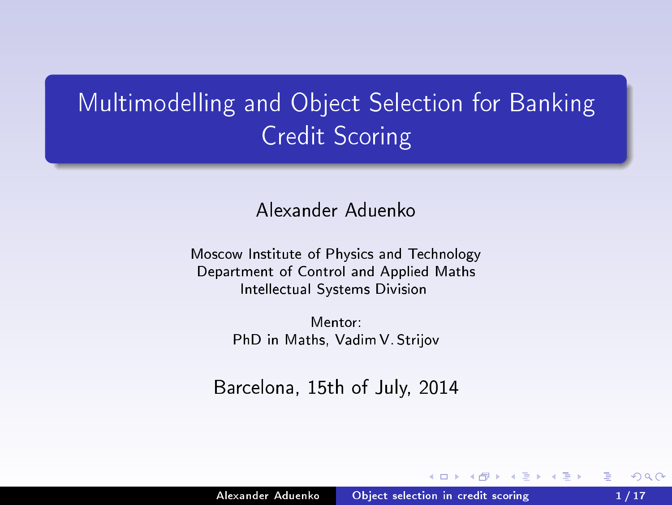# Multimodelling and Obje
t Sele
tion for Banking Credit S
oring

Alexander Aduenko

Moscow Institute of Physics and Technology Department of Control and Applied Maths Intellectual Systems Division

> Mentor PhD in Maths, Vadim V. Strijov

Bar
elona, 15th of July, 2014

a milit

<span id="page-1-0"></span>つへへ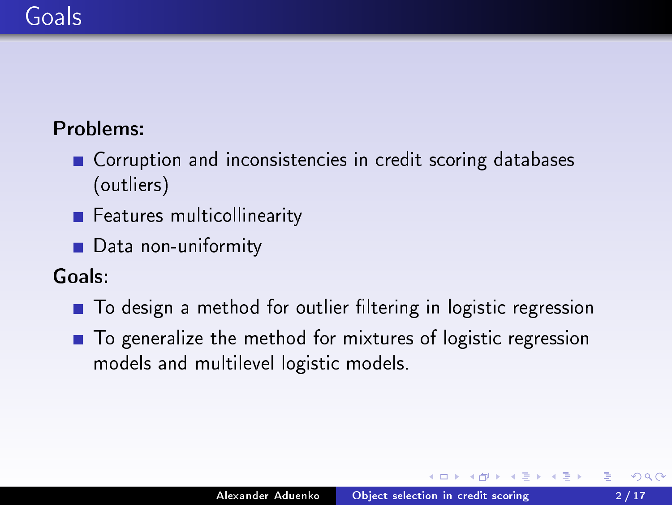### Goals

### Problems:

- Corruption and inconsistencies in credit scoring databases (outliers)  $\sim$   $\sim$   $\sim$
- Features multicollinearity Features multi
ollinearity
- $\mathcal{L}$  and uniform the non-uniformity system is a set of  $\mathcal{L}$

Goals:

- To design a method for outlier filtering in logistic regression
- <span id="page-2-0"></span>■ To generalize the method for mixtures of logistic regression models and multilevel logisti models.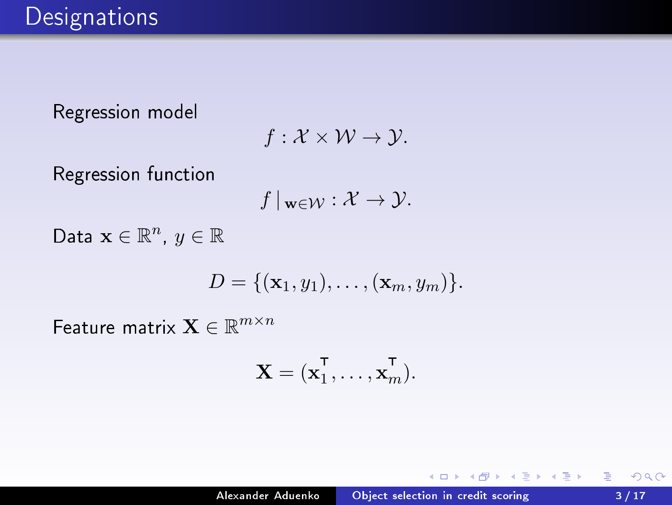Regression model

$$
f: \mathcal{X} \times \mathcal{W} \to \mathcal{Y}.
$$

Regression function

$$
f\,|_{\mathbf{w}\in\mathcal{W}}:\mathcal{X}\to\mathcal{Y}.
$$

Data  $\mathbf{x} \in \mathbb{R}^n$ ,  $y \in \mathbb{R}$ 

$$
D = \{(\mathbf{x}_1, y_1), \ldots, (\mathbf{x}_m, y_m)\}.
$$

Feature matrix  $\mathbf{X} \in \mathbb{R}^{m \times n}$ 

$$
\mathbf{X} = (\mathbf{x}_1^{\mathsf{T}}, \dots, \mathbf{x}_m^{\mathsf{T}}).
$$

 $\leftarrow$ 

<span id="page-3-0"></span> $2Q$ 

€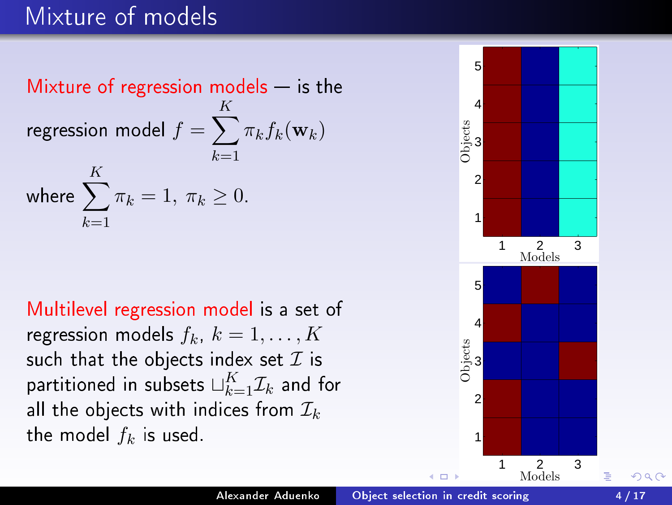### Mixture of models

Mixture of regression models  $-$  is the regression model  $f=\sum_{i}$ K  $k=1$  $\pi_k f_k(\mathbf{w}_k)$ where  $\sum$ K  $k=1$  $\pi_k = 1, \pi_k \geq 0.$ 

Multilevel regression model is a set of regression models  $f_k$ ,  $k = 1, \ldots, K$ such that the objects index set  $\mathcal I$  is partitioned in subsets  $\sqcup_{k=1}^K \mathcal{I}_k$  and for all the objects with indices from  $\mathcal{I}_k$ the model  $f_k$  is used.



<span id="page-4-0"></span>つへへ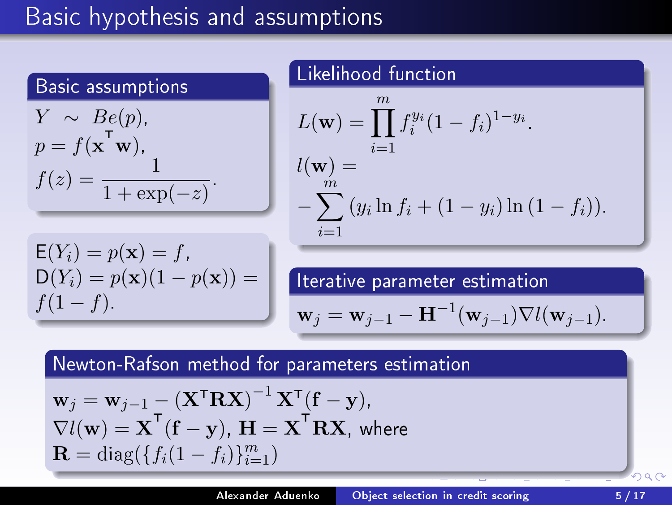# Basi hypothesis and assumptions

Basi assumptions

$$
Y \sim Be(p),
$$
  
\n
$$
p = f(\mathbf{x}^T \mathbf{w}),
$$
  
\n
$$
f(z) = \frac{1}{1 + \exp(-z)}.
$$

Likelihood function

\n
$$
L(\mathbf{w}) = \prod_{i=1}^{m} f_i^{y_i} (1 - f_i)^{1 - y_i}
$$
\n
$$
l(\mathbf{w}) = \sum_{i=1}^{m} (y_i \ln f_i + (1 - y_i) \ln (1 - f_i))
$$

$$
E(Y_i) = p(\mathbf{x}) = f,\nD(Y_i) = p(\mathbf{x})(1 - p(\mathbf{x})) = f(1 - f).
$$

Iterative parameter estimation

<span id="page-5-0"></span>
$$
\mathbf{w}_j = \mathbf{w}_{j-1} - \mathbf{H}^{-1}(\mathbf{w}_{j-1}) \nabla l(\mathbf{w}_{j-1}).
$$

Newton-Rafson method for parameters estimation

$$
\mathbf{w}_{j} = \mathbf{w}_{j-1} - (\mathbf{X}^{\mathsf{T}} \mathbf{R} \mathbf{X})^{-1} \mathbf{X}^{\mathsf{T}} (\mathbf{f} - \mathbf{y}),
$$
  
\n
$$
\nabla l(\mathbf{w}) = \mathbf{X}^{\mathsf{T}} (\mathbf{f} - \mathbf{y}), \mathbf{H} = \mathbf{X}^{\mathsf{T}} \mathbf{R} \mathbf{X}, \text{ where}
$$
  
\n
$$
\mathbf{R} = \text{diag}(\{f_i(1 - f_i)\}_{i=1}^m)
$$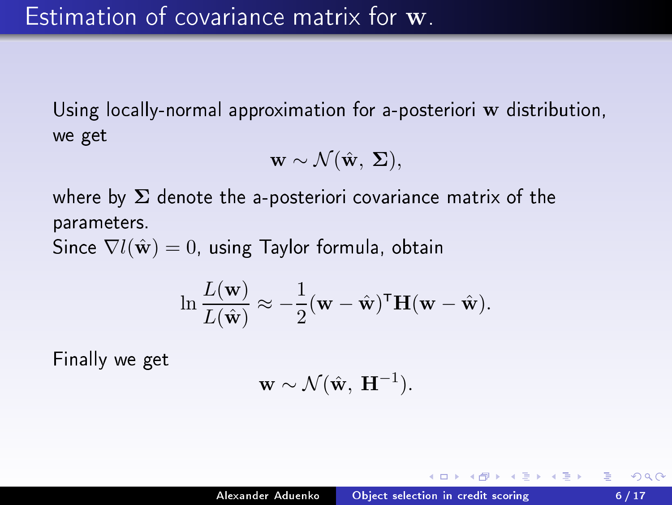Using locally-normal approximation for a-posteriori w distribution, we get

$$
\mathbf{w} \sim \mathcal{N}(\hat{\mathbf{w}}, \, \boldsymbol{\Sigma}),
$$

where by  $\Sigma$  denote the a-posteriori covariance matrix of the parameters. The contract of the contract of the contract of the contract of the contract of the contract of the

Since  $\nabla l(\hat{\mathbf{w}}) = 0$ , using Taylor formula, obtain

$$
\ln \frac{L(\mathbf{w})}{L(\hat{\mathbf{w}})} \approx -\frac{1}{2} (\mathbf{w} - \hat{\mathbf{w}})^{\mathsf{T}} \mathbf{H} (\mathbf{w} - \hat{\mathbf{w}}).
$$

Finally we get

<span id="page-6-0"></span>
$$
\mathbf{w} \sim \mathcal{N}(\hat{\mathbf{w}}, \ \mathbf{H}^{-1}).
$$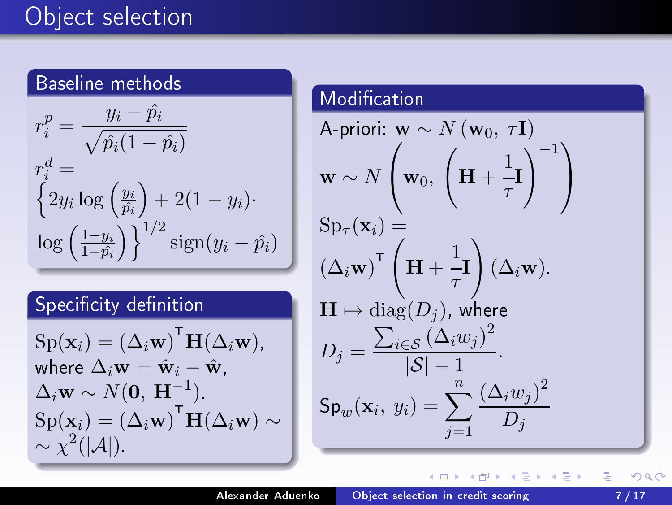### Baseline methods

$$
r_i^p = \frac{y_i - \hat{p}_i}{\sqrt{\hat{p}_i(1 - \hat{p}_i)}}
$$
  
\n
$$
r_i^d = \left\{ 2y_i \log \left( \frac{y_i}{\hat{p}_i} \right) + 2(1 - y_i) \right\}
$$
  
\n
$$
\log \left( \frac{1 - y_i}{1 - \hat{p}_i} \right) \right\}^{1/2} \text{sign}(y_i - \hat{p}_i)
$$

### Specificity definition

$$
Sp(\mathbf{x}_i) = (\Delta_i \mathbf{w})^{\mathsf{T}} \mathbf{H}(\Delta_i \mathbf{w}),
$$
  
where  $\Delta_i \mathbf{w} = \hat{\mathbf{w}}_i - \hat{\mathbf{w}},$   
 $\Delta_i \mathbf{w} \sim N(\mathbf{0}, \mathbf{H}^{-1})$   
 $Sp(\mathbf{x}_i) = (\Delta_i \mathbf{w})^{\mathsf{T}} \mathbf{H}(\Delta_i \mathbf{w}) \sim$   
 $\sim \chi^2(|\mathcal{A}|).$ 

#### Modification

A-prori: 
$$
\mathbf{w} \sim N(\mathbf{w}_0, \tau \mathbf{I})
$$
  
\n $\mathbf{w} \sim N\left(\mathbf{w}_0, \left(\mathbf{H} + \frac{1}{\tau}\right)^{-1}\right)$   
\n $\text{Sp}_{\tau}(\mathbf{x}_i) =$   
\n $(\Delta_i \mathbf{w})^{\top} \left(\mathbf{H} + \frac{1}{\tau}\mathbf{I}\right) (\Delta_i \mathbf{w}).$   
\n $\mathbf{H} \mapsto \text{diag}(D_j), \text{ where}$   
\n $D_j = \frac{\sum_{i \in S} (\Delta_i w_j)^2}{|\mathcal{S}| - 1}.$   
\n $\text{Sp}_w(\mathbf{x}_i, y_i) = \sum_{j=1}^n \frac{(\Delta_i w_j)^2}{D_j}$ 

<span id="page-7-0"></span>É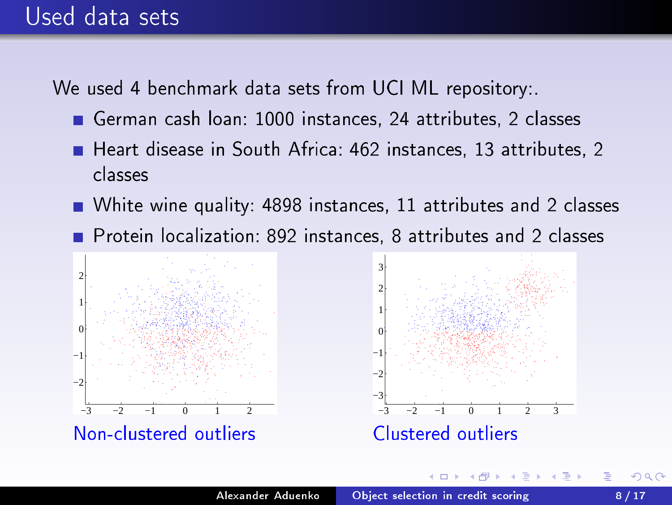### Used data sets

We used 4 benchmark data sets from UCI ML repository:

- German ash loan: 1000 instan
es, 24 attributes, 2 lasses
- Heart disease in South Africa: 462 instances, 13 attributes, 2 classes
- White wine quality: 4898 instances, 11 attributes and 2 classes
- Protein localization: 892 instances, 8 attributes and 2 classes

<span id="page-8-0"></span>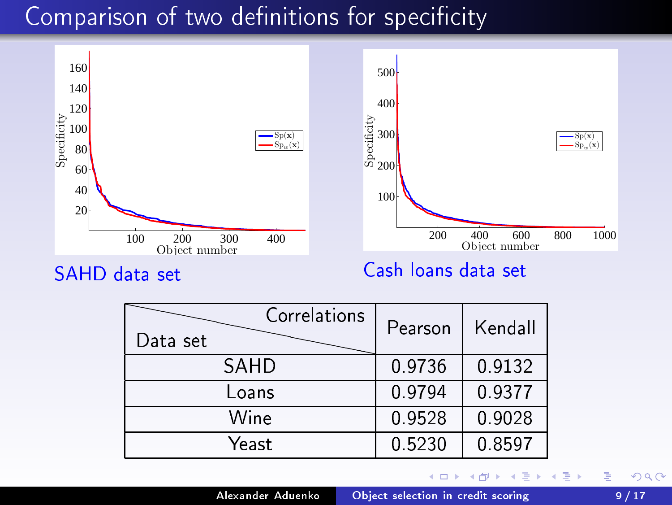# Comparison of two definitions for specificity



SAHD data set

| Correlations<br>Data set | Pearson | Kendall   |
|--------------------------|---------|-----------|
| SAHD                     | 0 9736  | 0 9 1 3 2 |
| Loans                    | 09794   | 0 9 3 7 7 |
| Wine                     | 09528   | 0.9028    |
| Yeast                    | 0.5230  | 0 8597    |

←□

<span id="page-9-0"></span>₿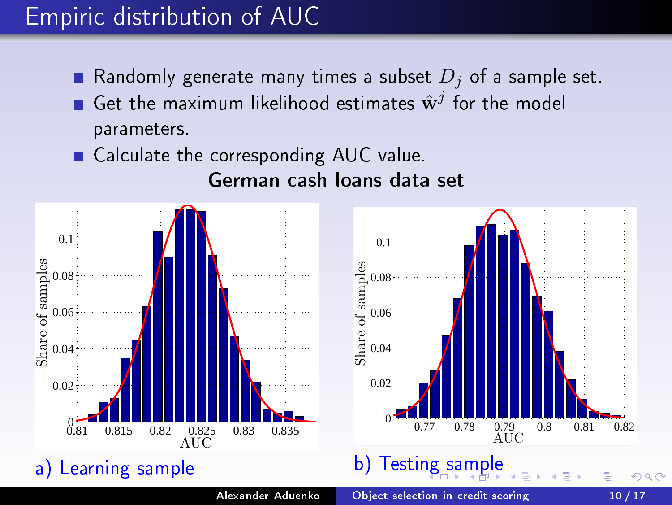### Empiri distribution of AUC

- Randomly generate many times a subset  $D_i$  of a sample set.
- Get the maximum likelihood estimates  $\hat{\mathbf{w}}^j$ parameters.
- Cal
ulate the orresponding AUC value.

<span id="page-10-0"></span>German cash loans data set

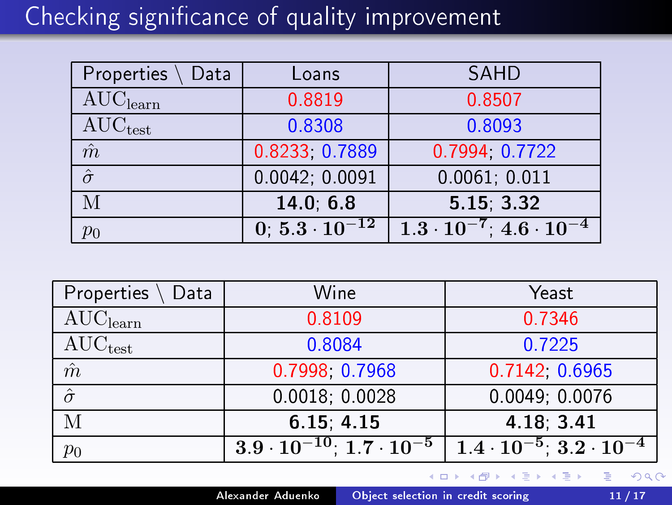# Checking significance of quality improvement

| Properties<br>Data                     | Loans                  | SAHD                                     |  |  |
|----------------------------------------|------------------------|------------------------------------------|--|--|
| $\overline{\text{AUC}}_{\text{learn}}$ | 0.8819                 | 0.8507                                   |  |  |
| $\mathrm{AUC}_{\mathrm{test}}$         | 0.8308                 | 0.8093                                   |  |  |
| $\hat{m}$                              | 0.8233, 0.7889         | 0.7994, 0.7722                           |  |  |
| $\hat{\sigma}$                         | 0.0042; 0.0091         | 0.0061; 0.011                            |  |  |
|                                        | 14 0 6 8               | 5.15, 3.32                               |  |  |
| $p_0$                                  | $0.5.3 \cdot 10^{-12}$ | $1.3\cdot 10^{-7}$ 4.6 $\cdot$ $10^{-4}$ |  |  |

| Properties<br>Data                     | Wine                                   | Yeast                                   |  |  |
|----------------------------------------|----------------------------------------|-----------------------------------------|--|--|
| $\overline{\text{AUC}}_{\text{learn}}$ | 0.8109                                 | 0.7346                                  |  |  |
| $AUC_{test}$                           | 0.8084                                 | 0.7225                                  |  |  |
| $\hat{m}$                              | 0.7998 0.7968                          | 0.7142, 0.6965                          |  |  |
| $\hat{\sigma}$                         | 0.0018, 0.0028                         | 0.0049; 0.0076                          |  |  |
| М                                      | 6 15, 4 15                             | 4 18 3 41                               |  |  |
| $p_{\rm 0}$                            | $3.9\cdot 10^{-10}$ $1.7\cdot 10^{-5}$ | $1.4 \cdot 10^{-5}$ 3.2 $\cdot 10^{-4}$ |  |  |

어서 동시

<span id="page-11-0"></span>后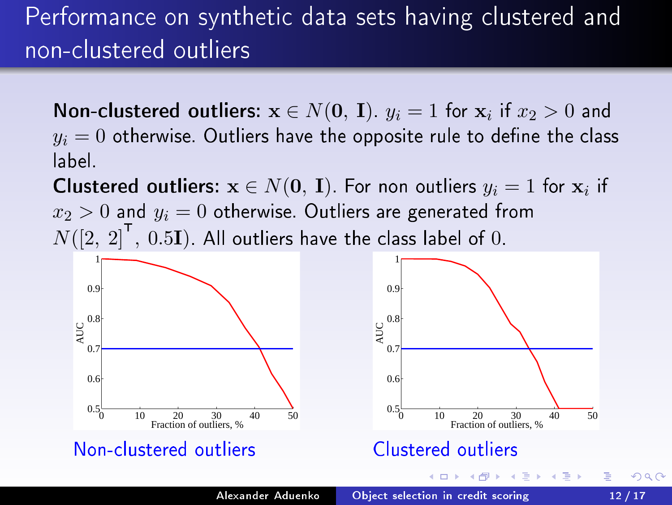# Performan
e on syntheti data sets having lustered and non-clustered outliers

**Non-clustered outliers:**  $x \in N(0, I)$ .  $y_i = 1$  for  $x_i$  if  $x_2 > 0$  and  $y_i = 0$  otherwise. Outliers have the opposite rule to define the class label

**Clustered outliers:**  $\mathbf{x} \in N(\mathbf{0}, \mathbf{I})$  For non outliers  $y_i = 1$  for  $\mathbf{x}_i$  if  $x_2 > 0$  and  $y_i = 0$  otherwise. Outliers are generated from  $N([2, \ 2]^\cdot, \ 0.5\mathbf{I})$  . All outliers have the class label of  $0.$ 

<span id="page-12-0"></span>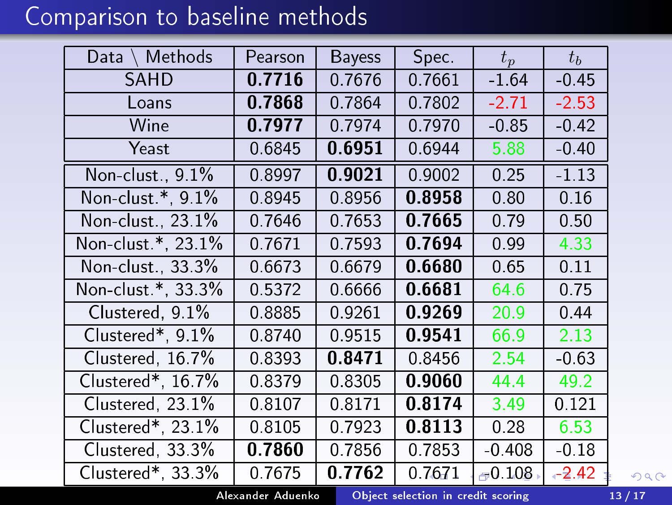# Comparison to baseline methods

| Methods<br>Data       | Pearson | <b>Bayess</b> | Spec.   | $t_p$    | $t_h$   |
|-----------------------|---------|---------------|---------|----------|---------|
| SAHD                  | 0.7716  | 0.7676        | 0 7661  | $-1.64$  | $-0.45$ |
| Loans                 | 0.7868  | 07864         | 0.7802  | $-2.71$  | $-2.53$ |
| Wine                  | 0.7977  | 0.7974        | 0.7970  | $-0.85$  | $-0.42$ |
| Yeast                 | 0.6845  | 0.6951        | 0.6944  | 5.88     | $-0.40$ |
| Non-clust, 9.1%       | 0.8997  | 0.9021        | 0.9002  | 0.25     | $-1.13$ |
| Non-clust *, 9.1%     | 0.8945  | 0.8956        | 0.8958  | 0.80     | 0.16    |
| Non-clust, 23.1%      | 0.7646  | 0 7653        | 0.7665  | 0.79     | 0.50    |
| Non-clust *, 23.1%    | 0.7671  | 0.7593        | 0.7694  | 0.99     | 4.33    |
| Non-clust, 33.3%      | 0.6673  | 0.6679        | 0.6680  | 0.65     | 0.11    |
| Non-clust *, 33.3%    | 0.5372  | 0.6666        | 0.6681  | 64.6     | 0.75    |
| $Clustered$ , $9.1\%$ | 08885   | 09261         | 0.9269  | 20.9     | 0.44    |
| Clustered*, $9.1\%$   | 08740   | 0.9515        | 0.9541  | 66.9     | 2.13    |
| Clustered, 167%       | 08393   | 0.8471        | 0.8456  | 2.54     | $-0.63$ |
| Clustered*, 16.7%     | 08379   | 08305         | 0.9060  | 44.4     | 49.2    |
| Clustered, $23.1\%$   | 08107   | 0.8171        | 0.8174  | 3.49     | 0.121   |
| $Clustered*, 23.1\%$  | 0.8105  | 0.7923        | 0.8113  | 0.28     | 6.53    |
| Clustered, 33.3%      | 0.7860  | 0.7856        | 0.7853  | $-0.408$ | $-0.18$ |
| Clustered*, 33.3%     | 0.7675  | 0.7762        | 0 76 71 | $-0.108$ | $-2.42$ |

<span id="page-13-0"></span>Alexander Aduenko Obje
t [sele
tion](#page-1-0) in redit s
oring 13 / 17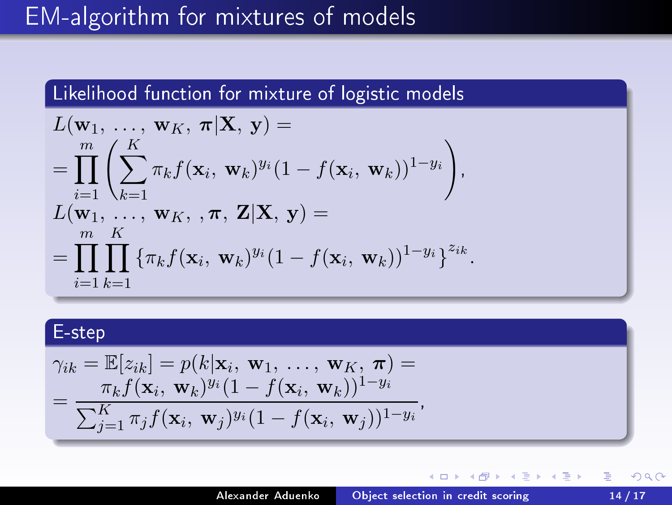## EM-algorithm for mixtures of models

Likelihood function for mixture of logistic models

$$
L(\mathbf{w}_1, ..., \mathbf{w}_K, \pi | \mathbf{X}, \mathbf{y}) =
$$
  
= 
$$
\prod_{i=1}^m \left( \sum_{k=1}^K \pi_k f(\mathbf{x}_i, \mathbf{w}_k)^{y_i} (1 - f(\mathbf{x}_i, \mathbf{w}_k))^{1-y_i} \right),
$$
  

$$
L(\mathbf{w}_1, ..., \mathbf{w}_K, \pi, \mathbf{Z} | \mathbf{X}, \mathbf{y}) =
$$
  
= 
$$
\prod_{i=1}^m \prod_{k=1} \{ \pi_k f(\mathbf{x}_i, \mathbf{w}_k)^{y_i} (1 - f(\mathbf{x}_i, \mathbf{w}_k))^{1-y_i} \}^{z_{ik}}.
$$

#### E-step

$$
\gamma_{ik} = \mathbb{E}[z_{ik}] = p(k|\mathbf{x}_i, \mathbf{w}_1, \dots, \mathbf{w}_K, \boldsymbol{\pi}) =
$$
  
= 
$$
\frac{\pi_k f(\mathbf{x}_i, \mathbf{w}_k)^{y_i} (1 - f(\mathbf{x}_i, \mathbf{w}_k))^{1 - y_i}}{\sum_{j=1}^K \pi_j f(\mathbf{x}_i, \mathbf{w}_j)^{y_i} (1 - f(\mathbf{x}_i, \mathbf{w}_j))^{1 - y_i}},
$$

<span id="page-14-0"></span>∢ □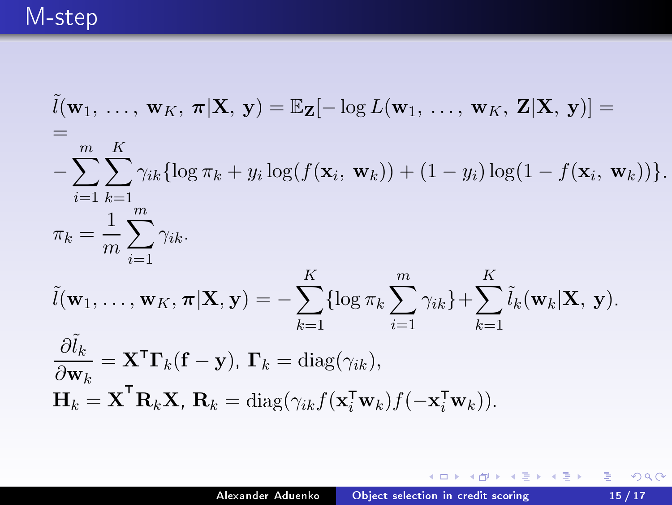# M-step

$$
\tilde{l}(\mathbf{w}_{1}, \ldots, \mathbf{w}_{K}, \boldsymbol{\pi} | \mathbf{X}, \mathbf{y}) = \mathbb{E}_{\mathbf{Z}}[-\log L(\mathbf{w}_{1}, \ldots, \mathbf{w}_{K}, \mathbf{Z} | \mathbf{X}, \mathbf{y})] =
$$
\n
$$
= \sum_{i=1}^{m} \sum_{k=1}^{K} \gamma_{ik} \{ \log \pi_{k} + y_{i} \log(f(\mathbf{x}_{i}, \mathbf{w}_{k})) + (1 - y_{i}) \log(1 - f(\mathbf{x}_{i}, \mathbf{w}_{k})) \}.
$$
\n
$$
\pi_{k} = \frac{1}{m} \sum_{i=1}^{m} \gamma_{ik}.
$$
\n
$$
\tilde{l}(\mathbf{w}_{1}, \ldots, \mathbf{w}_{K}, \boldsymbol{\pi} | \mathbf{X}, \mathbf{y}) = -\sum_{k=1}^{K} \{ \log \pi_{k} \sum_{i=1}^{m} \gamma_{ik} \} + \sum_{k=1}^{K} \tilde{l}_{k}(\mathbf{w}_{k} | \mathbf{X}, \mathbf{y}).
$$
\n
$$
\frac{\partial \tilde{l}_{k}}{\partial \mathbf{w}_{k}} = \mathbf{X}^{\mathsf{T}} \mathbf{\Gamma}_{k}(\mathbf{f} - \mathbf{y}), \mathbf{\Gamma}_{k} = \text{diag}(\gamma_{ik}),
$$
\n
$$
\mathbf{H}_{k} = \mathbf{X}^{\mathsf{T}} \mathbf{R}_{k} \mathbf{X}, \mathbf{R}_{k} = \text{diag}(\gamma_{ik} f(\mathbf{x}_{i}^{\mathsf{T}} \mathbf{w}_{k}) f(-\mathbf{x}_{i}^{\mathsf{T}} \mathbf{w}_{k})).
$$

メロメ メタメ メミメ メミメー

■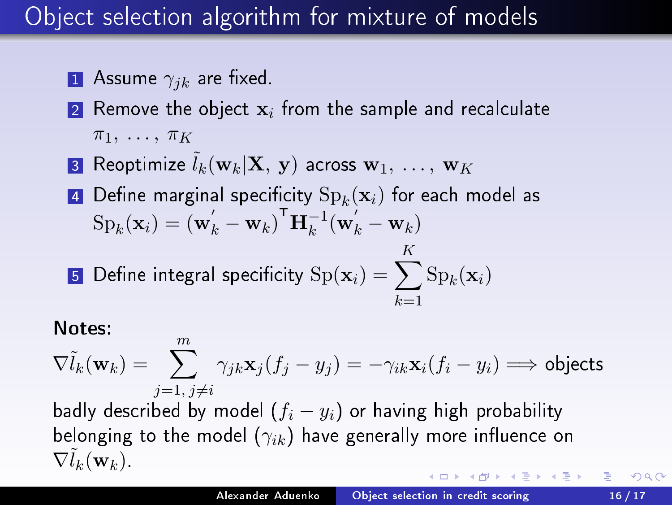## Obje
t sele
tion algorithm for mixture of models

- **1** Assume  $\gamma_{ik}$  are fixed.
- $\bf{2}$  Remove the object  $\mathbf{x}_i$  from the sample and recalculate  $\pi_1, \ldots, \pi_K$
- **3** Reoptimize  $l_k(\mathbf{w}_k|\mathbf{X}, \mathbf{y})$  across  $\mathbf{w}_1, \ldots, \mathbf{w}_K$
- $\texttt{4}$  Define marginal specificity  $\mathrm{Sp}_k(\mathbf{x}_i)$  for each model as  $\text{Sp}_k(\mathbf{x}_i) = \left(\mathbf{w}_k' - \mathbf{w}_k\right)^{\mathsf{T}} \mathbf{H}_k^{-1} (\mathbf{w}_k' - \mathbf{w}_k)$ K
- $\bf{5}$  Define integral specificity  ${\rm Sp}({\bf x}_i) = \sum_i$  $k=1$  $\mathrm{Sp}_k(\mathbf{x}_i)$

#### Notes:

 $\nabla \tilde{l}_k(\mathbf{w}_k) = \sum_{j}^{m} \gamma_{jk} \mathbf{x}_j (f_j - y_j) = -\gamma_{ik} \mathbf{x}_i (f_i - y_i) \Longrightarrow \text{objects}$  $i=1, i\neq i$ 

badly described by model  $(f_i - y_i)$  or having high probability belonging to the model  $(\gamma_{ik})$  have generally more influence on  $\nabla l_k(\mathbf{w}_k)$ .